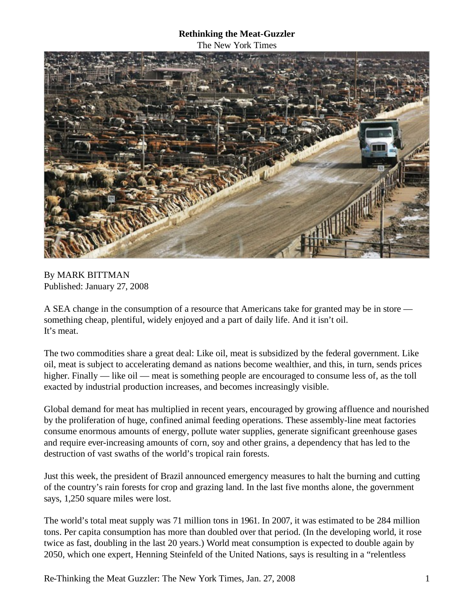## **Rethinking the Meat-Guzzler**

The New York Times



By MARK BITTMAN Published: January 27, 2008

A SEA change in the consumption of a resource that Americans take for granted may be in store something cheap, plentiful, widely enjoyed and a part of daily life. And it isn't oil. It's meat.

The two commodities share a great deal: Like oil, meat is subsidized by the federal government. Like oil, meat is subject to accelerating demand as nations become wealthier, and this, in turn, sends prices higher. Finally — like oil — meat is something people are encouraged to consume less of, as the toll exacted by industrial production increases, and becomes increasingly visible.

Global demand for meat has multiplied in recent years, encouraged by growing affluence and nourished by the proliferation of huge, confined animal feeding operations. These assembly-line meat factories consume enormous amounts of energy, pollute water supplies, generate significant greenhouse gases and require ever-increasing amounts of corn, soy and other grains, a dependency that has led to the destruction of vast swaths of the world's tropical rain forests.

Just this week, the president of Brazil announced emergency measures to halt the burning and cutting of the country's rain forests for crop and grazing land. In the last five months alone, the government says, 1,250 square miles were lost.

The world's total meat supply was 71 million tons in 1961. In 2007, it was estimated to be 284 million tons. Per capita consumption has more than doubled over that period. (In the developing world, it rose twice as fast, doubling in the last 20 years.) World meat consumption is expected to double again by 2050, which one expert, Henning Steinfeld of the United Nations, says is resulting in a "relentless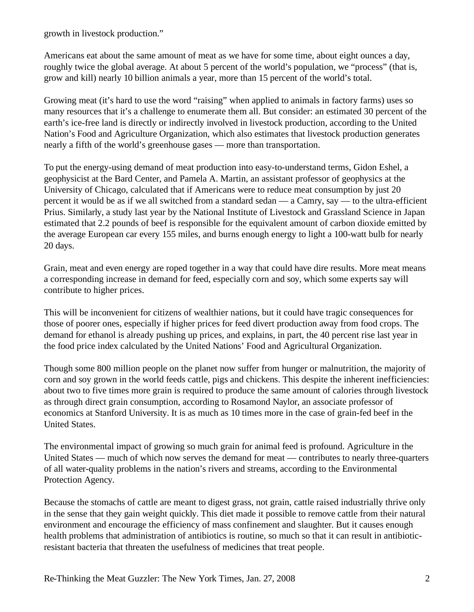growth in livestock production."

Americans eat about the same amount of meat as we have for some time, about eight ounces a day, roughly twice the global average. At about 5 percent of the world's population, we "process" (that is, grow and kill) nearly 10 billion animals a year, more than 15 percent of the world's total.

Growing meat (it's hard to use the word "raising" when applied to animals in factory farms) uses so many resources that it's a challenge to enumerate them all. But consider: an estimated 30 percent of the earth's ice-free land is directly or indirectly involved in livestock production, according to the United Nation's Food and Agriculture Organization, which also estimates that livestock production generates nearly a fifth of the world's greenhouse gases — more than transportation.

To put the energy-using demand of meat production into easy-to-understand terms, Gidon Eshel, a geophysicist at the Bard Center, and Pamela A. Martin, an assistant professor of geophysics at the University of Chicago, calculated that if Americans were to reduce meat consumption by just 20 percent it would be as if we all switched from a standard sedan — a Camry, say — to the ultra-efficient Prius. Similarly, a study last year by the National Institute of Livestock and Grassland Science in Japan estimated that 2.2 pounds of beef is responsible for the equivalent amount of carbon dioxide emitted by the average European car every 155 miles, and burns enough energy to light a 100-watt bulb for nearly 20 days.

Grain, meat and even energy are roped together in a way that could have dire results. More meat means a corresponding increase in demand for feed, especially corn and soy, which some experts say will contribute to higher prices.

This will be inconvenient for citizens of wealthier nations, but it could have tragic consequences for those of poorer ones, especially if higher prices for feed divert production away from food crops. The demand for ethanol is already pushing up prices, and explains, in part, the 40 percent rise last year in the food price index calculated by the United Nations' Food and Agricultural Organization.

Though some 800 million people on the planet now suffer from hunger or malnutrition, the majority of corn and soy grown in the world feeds cattle, pigs and chickens. This despite the inherent inefficiencies: about two to five times more grain is required to produce the same amount of calories through livestock as through direct grain consumption, according to Rosamond Naylor, an associate professor of economics at Stanford University. It is as much as 10 times more in the case of grain-fed beef in the United States.

The environmental impact of growing so much grain for animal feed is profound. Agriculture in the United States — much of which now serves the demand for meat — contributes to nearly three-quarters of all water-quality problems in the nation's rivers and streams, according to the Environmental Protection Agency.

Because the stomachs of cattle are meant to digest grass, not grain, cattle raised industrially thrive only in the sense that they gain weight quickly. This diet made it possible to remove cattle from their natural environment and encourage the efficiency of mass confinement and slaughter. But it causes enough health problems that administration of antibiotics is routine, so much so that it can result in antibioticresistant bacteria that threaten the usefulness of medicines that treat people.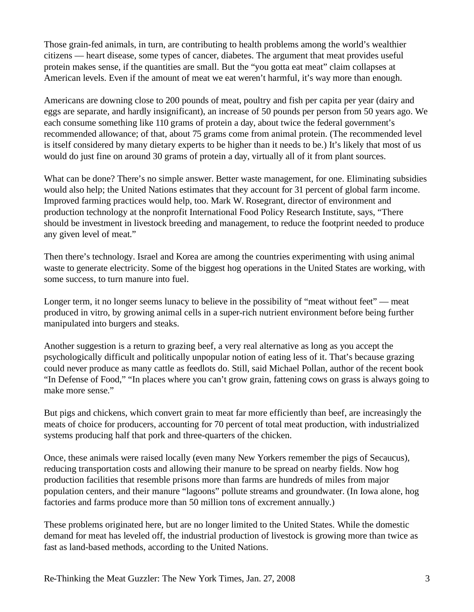Those grain-fed animals, in turn, are contributing to health problems among the world's wealthier citizens — heart disease, some types of cancer, diabetes. The argument that meat provides useful protein makes sense, if the quantities are small. But the "you gotta eat meat" claim collapses at American levels. Even if the amount of meat we eat weren't harmful, it's way more than enough.

Americans are downing close to 200 pounds of meat, poultry and fish per capita per year (dairy and eggs are separate, and hardly insignificant), an increase of 50 pounds per person from 50 years ago. We each consume something like 110 grams of protein a day, about twice the federal government's recommended allowance; of that, about 75 grams come from animal protein. (The recommended level is itself considered by many dietary experts to be higher than it needs to be.) It's likely that most of us would do just fine on around 30 grams of protein a day, virtually all of it from plant sources.

What can be done? There's no simple answer. Better waste management, for one. Eliminating subsidies would also help; the United Nations estimates that they account for 31 percent of global farm income. Improved farming practices would help, too. Mark W. Rosegrant, director of environment and production technology at the nonprofit International Food Policy Research Institute, says, "There should be investment in livestock breeding and management, to reduce the footprint needed to produce any given level of meat."

Then there's technology. Israel and Korea are among the countries experimenting with using animal waste to generate electricity. Some of the biggest hog operations in the United States are working, with some success, to turn manure into fuel.

Longer term, it no longer seems lunacy to believe in the possibility of "meat without feet" — meat produced in vitro, by growing animal cells in a super-rich nutrient environment before being further manipulated into burgers and steaks.

Another suggestion is a return to grazing beef, a very real alternative as long as you accept the psychologically difficult and politically unpopular notion of eating less of it. That's because grazing could never produce as many cattle as feedlots do. Still, said Michael Pollan, author of the recent book "In Defense of Food," "In places where you can't grow grain, fattening cows on grass is always going to make more sense."

But pigs and chickens, which convert grain to meat far more efficiently than beef, are increasingly the meats of choice for producers, accounting for 70 percent of total meat production, with industrialized systems producing half that pork and three-quarters of the chicken.

Once, these animals were raised locally (even many New Yorkers remember the pigs of Secaucus), reducing transportation costs and allowing their manure to be spread on nearby fields. Now hog production facilities that resemble prisons more than farms are hundreds of miles from major population centers, and their manure "lagoons" pollute streams and groundwater. (In Iowa alone, hog factories and farms produce more than 50 million tons of excrement annually.)

These problems originated here, but are no longer limited to the United States. While the domestic demand for meat has leveled off, the industrial production of livestock is growing more than twice as fast as land-based methods, according to the United Nations.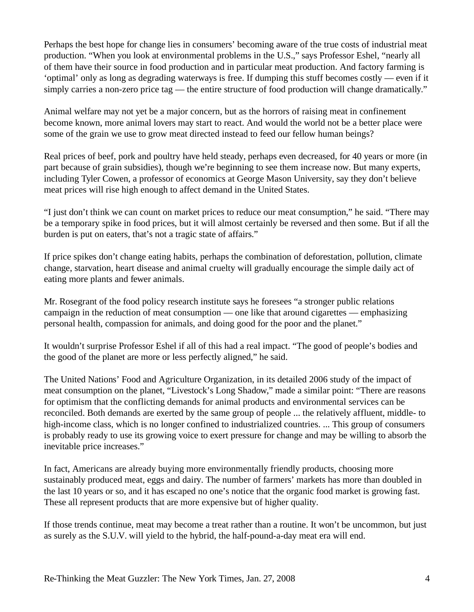Perhaps the best hope for change lies in consumers' becoming aware of the true costs of industrial meat production. "When you look at environmental problems in the U.S.," says Professor Eshel, "nearly all of them have their source in food production and in particular meat production. And factory farming is 'optimal' only as long as degrading waterways is free. If dumping this stuff becomes costly — even if it simply carries a non-zero price tag — the entire structure of food production will change dramatically."

Animal welfare may not yet be a major concern, but as the horrors of raising meat in confinement become known, more animal lovers may start to react. And would the world not be a better place were some of the grain we use to grow meat directed instead to feed our fellow human beings?

Real prices of beef, pork and poultry have held steady, perhaps even decreased, for 40 years or more (in part because of grain subsidies), though we're beginning to see them increase now. But many experts, including Tyler Cowen, a professor of economics at George Mason University, say they don't believe meat prices will rise high enough to affect demand in the United States.

"I just don't think we can count on market prices to reduce our meat consumption," he said. "There may be a temporary spike in food prices, but it will almost certainly be reversed and then some. But if all the burden is put on eaters, that's not a tragic state of affairs."

If price spikes don't change eating habits, perhaps the combination of deforestation, pollution, climate change, starvation, heart disease and animal cruelty will gradually encourage the simple daily act of eating more plants and fewer animals.

Mr. Rosegrant of the food policy research institute says he foresees "a stronger public relations campaign in the reduction of meat consumption — one like that around cigarettes — emphasizing personal health, compassion for animals, and doing good for the poor and the planet."

It wouldn't surprise Professor Eshel if all of this had a real impact. "The good of people's bodies and the good of the planet are more or less perfectly aligned," he said.

The United Nations' Food and Agriculture Organization, in its detailed 2006 study of the impact of meat consumption on the planet, "Livestock's Long Shadow," made a similar point: "There are reasons for optimism that the conflicting demands for animal products and environmental services can be reconciled. Both demands are exerted by the same group of people ... the relatively affluent, middle- to high-income class, which is no longer confined to industrialized countries. ... This group of consumers is probably ready to use its growing voice to exert pressure for change and may be willing to absorb the inevitable price increases."

In fact, Americans are already buying more environmentally friendly products, choosing more sustainably produced meat, eggs and dairy. The number of farmers' markets has more than doubled in the last 10 years or so, and it has escaped no one's notice that the organic food market is growing fast. These all represent products that are more expensive but of higher quality.

If those trends continue, meat may become a treat rather than a routine. It won't be uncommon, but just as surely as the S.U.V. will yield to the hybrid, the half-pound-a-day meat era will end.